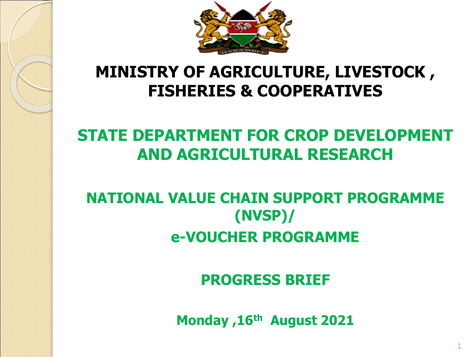

## **MINISTRY OF AGRICULTURE, LIVESTOCK , FISHERIES & COOPERATIVES**

# **STATE DEPARTMENT FOR CROP DEVELOPMENT AND AGRICULTURAL RESEARCH**

# **NATIONAL VALUE CHAIN SUPPORT PROGRAMME (NVSP)/ e-VOUCHER PROGRAMME**

**PROGRESS BRIEF** 

**Monday ,16th August 2021**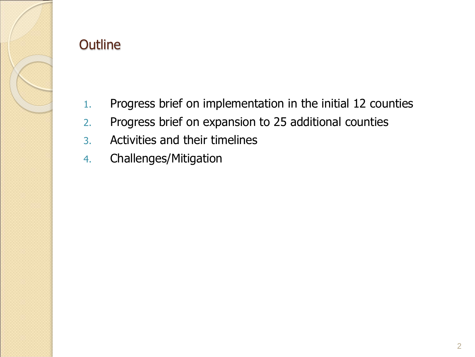

#### **Outline**

- 1. Progress brief on implementation in the initial 12 counties
- 2. Progress brief on expansion to 25 additional counties
- 3. Activities and their timelines
- 4. Challenges/Mitigation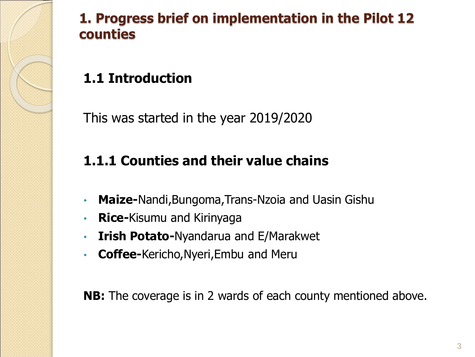

### **1. Progress brief on implementation in the Pilot 12 counties**

## **1.1 Introduction**

This was started in the year 2019/2020

## **1.1.1 Counties and their value chains**

- **Maize-**Nandi,Bungoma,Trans-Nzoia and Uasin Gishu
- **Rice-**Kisumu and Kirinyaga
- **Irish Potato-**Nyandarua and E/Marakwet
- **Coffee-**Kericho,Nyeri,Embu and Meru

**NB:** The coverage is in 2 wards of each county mentioned above.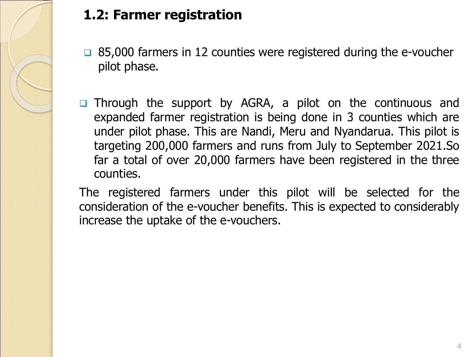

## **1.2: Farmer registration**

- $\Box$  85,000 farmers in 12 counties were registered during the e-voucher pilot phase.
- Through the support by AGRA, a pilot on the continuous and expanded farmer registration is being done in 3 counties which are under pilot phase. This are Nandi, Meru and Nyandarua. This pilot is targeting 200,000 farmers and runs from July to September 2021.So far a total of over 20,000 farmers have been registered in the three counties.

The registered farmers under this pilot will be selected for the consideration of the e-voucher benefits. This is expected to considerably increase the uptake of the e-vouchers.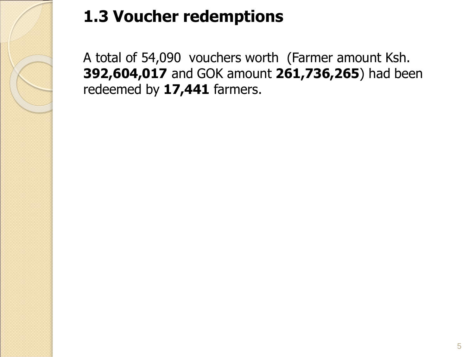

# **1.3 Voucher redemptions**

A total of 54,090 vouchers worth (Farmer amount Ksh. **392,604,017** and GOK amount **261,736,265**) had been redeemed by **17,441** farmers.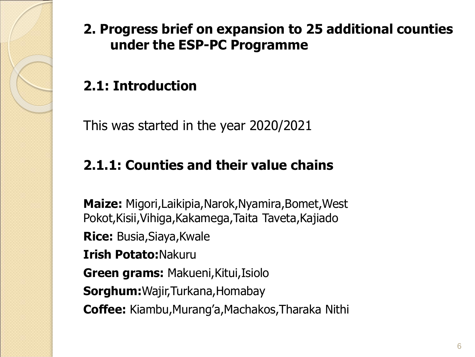

#### **2. Progress brief on expansion to 25 additional counties under the ESP-PC Programme**

## **2.1: Introduction**

This was started in the year 2020/2021

#### **2.1.1: Counties and their value chains**

**Maize:** Migori,Laikipia,Narok,Nyamira,Bomet,West Pokot,Kisii,Vihiga,Kakamega,Taita Taveta,Kajiado **Rice:** Busia,Siaya,Kwale **Irish Potato:**Nakuru **Green grams:** Makueni,Kitui,Isiolo **Sorghum:**Wajir,Turkana,Homabay **Coffee:** Kiambu,Murang'a,Machakos,Tharaka Nithi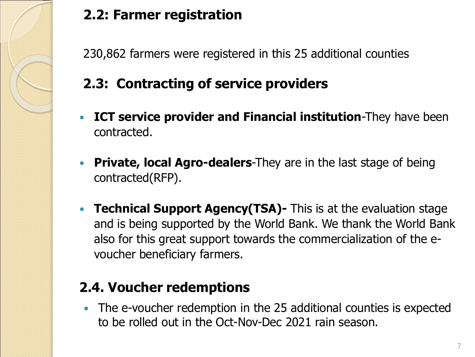

## **2.2: Farmer registration**

230,862 farmers were registered in this 25 additional counties

## **2.3: Contracting of service providers**

- **ICT service provider and Financial institution**-They have been contracted.
- **Private, local Agro-dealers**-They are in the last stage of being contracted(RFP).
- **Technical Support Agency(TSA)-** This is at the evaluation stage and is being supported by the World Bank. We thank the World Bank also for this great support towards the commercialization of the evoucher beneficiary farmers.

## **2.4. Voucher redemptions**

 The e-voucher redemption in the 25 additional counties is expected to be rolled out in the Oct-Nov-Dec 2021 rain season.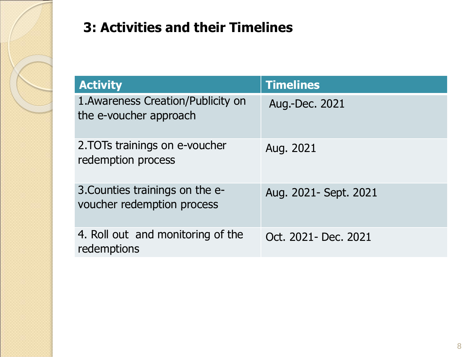

## **3: Activities and their Timelines**

| <b>Activity</b>                                               | <b>Timelines</b>       |
|---------------------------------------------------------------|------------------------|
| 1. Awareness Creation/Publicity on<br>the e-voucher approach  | Aug.-Dec. 2021         |
| 2. TOTs trainings on e-voucher<br>redemption process          | Aug. 2021              |
| 3. Counties trainings on the e-<br>voucher redemption process | Aug. 2021 - Sept. 2021 |
| 4. Roll out and monitoring of the<br>redemptions              | Oct. 2021 - Dec. 2021  |